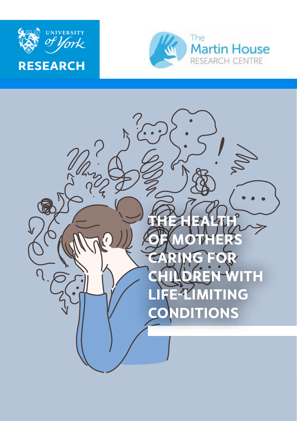